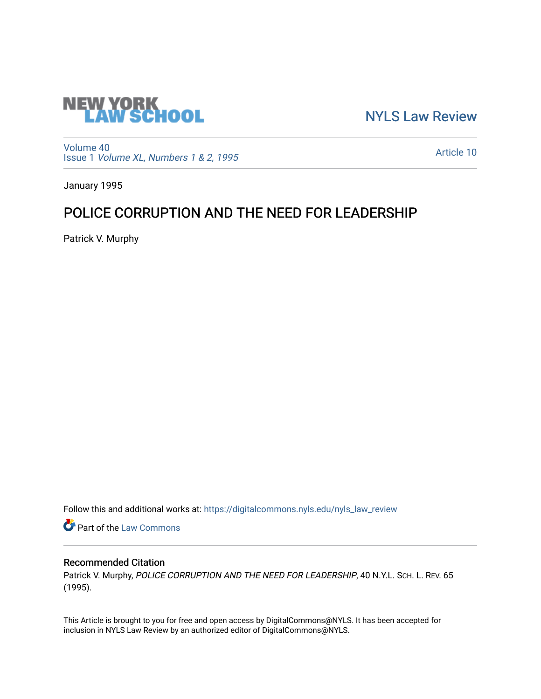

[NYLS Law Review](https://digitalcommons.nyls.edu/nyls_law_review) 

[Volume 40](https://digitalcommons.nyls.edu/nyls_law_review/vol40) Issue 1 [Volume XL, Numbers 1 & 2, 1995](https://digitalcommons.nyls.edu/nyls_law_review/vol40/iss1)

[Article 10](https://digitalcommons.nyls.edu/nyls_law_review/vol40/iss1/10) 

January 1995

# POLICE CORRUPTION AND THE NEED FOR LEADERSHIP

Patrick V. Murphy

Follow this and additional works at: [https://digitalcommons.nyls.edu/nyls\\_law\\_review](https://digitalcommons.nyls.edu/nyls_law_review?utm_source=digitalcommons.nyls.edu%2Fnyls_law_review%2Fvol40%2Fiss1%2F10&utm_medium=PDF&utm_campaign=PDFCoverPages) 

**Part of the [Law Commons](https://network.bepress.com/hgg/discipline/578?utm_source=digitalcommons.nyls.edu%2Fnyls_law_review%2Fvol40%2Fiss1%2F10&utm_medium=PDF&utm_campaign=PDFCoverPages)** 

## Recommended Citation

Patrick V. Murphy, POLICE CORRUPTION AND THE NEED FOR LEADERSHIP, 40 N.Y.L. SCH. L. REV. 65 (1995).

This Article is brought to you for free and open access by DigitalCommons@NYLS. It has been accepted for inclusion in NYLS Law Review by an authorized editor of DigitalCommons@NYLS.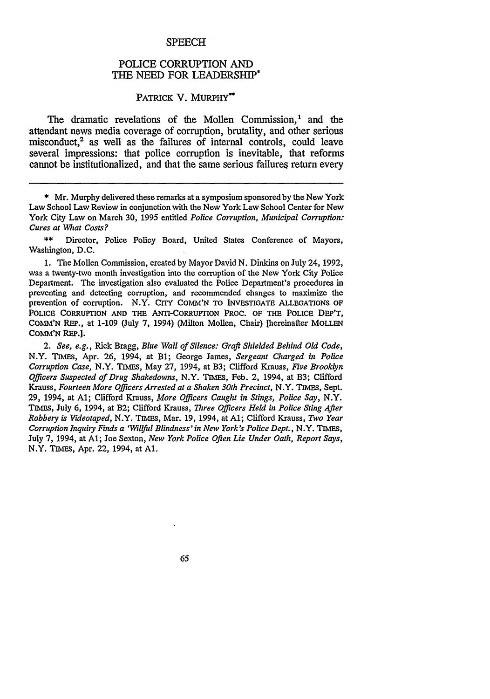#### **SPEECH**

### POLICE CORRUPTION AND THE NEED FOR LEADERSHIP\*

#### PATRICK V. MURPHY\*\*

The dramatic revelations of the Mollen Commission,' and the attendant news media coverage of corruption, brutality, and other serious misconduct.<sup>2</sup> as well as the failures of internal controls, could leave several impressions: that police corruption is inevitable, that reforms cannot be institutionalized, and that the same serious failures return every

\*\* Director, Police Policy Board, United States Conference of Mayors, Washington, **D.C.**

**1.** The Mollen Commission, created **by** Mayor David **N.** Dinkins on July 24, 1992, was a twenty-two month investigation into the corruption of the New York City Police Department. The investigation also evaluated the Police Department's procedures in preventing and detecting corruption, and recommended changes to maximize the prevention of corruption. N.Y. CITY COMM'N TO INVESTIGATE ALLEGATIONS OF POLICE CORRUPTION AND THE ANTI-CORRUPTION PROC. OF THE POLICE DEP'T, COMM'N REP., at 1-109 (July 7, 1994) (Milton Mollen, Chair) [hereinafter MOLLEN **COMM'N** REP.].

*2. See, e.g.,* Rick Bragg, *Blue Wall of Silence: Graft Shielded Behind Old Code,* N.Y. TIMEs, Apr. 26, 1994, at Bi; George James, *Sergeant Charged in Police Corruption Case,* N.Y. TIMES, May 27, 1994, at B3; Clifford Krauss, *Five Brooklyn Officers Suspected of Drug Shakedowns,* N.Y. TIMEs, Feb. 2, 1994, at B3; Clifford Krauss, *Fourteen More Officers Arrested at a Shaken 30th Precinct,* N.Y. TIMES, Sept. 29, 1994, at **Al;** Clifford Krauss, *More Officers Caught in Stings, Police Say,* N.Y. TIhms, July 6, 1994, at B2; Clifford Krauss, *Three Officers Held in Police Sting After Robbery is Videotaped,* N.Y. TIMES, Mar. 19, 1994, at **Al;** Clifford Krauss, *Two Year Corruption Inquiry Finds a 'Willful Blindness' in New York's Police Dept.,* N.Y. TIMES, July 7, 1994, at **Al;** Joe Sexton, *New York Police Often Lie Under Oath, Report Says,* N.Y. TIMES, Apr. 22, 1994, at **Al.**

65

<sup>\*</sup> Mr. Murphy delivered these remarks at a symposium sponsored **by** the New York Law School Law Review in conjunction with the New York Law School Center for New York City Law on March 30, 1995 entitled *Police Corruption, Municipal Corruption: Cures at What Costs?*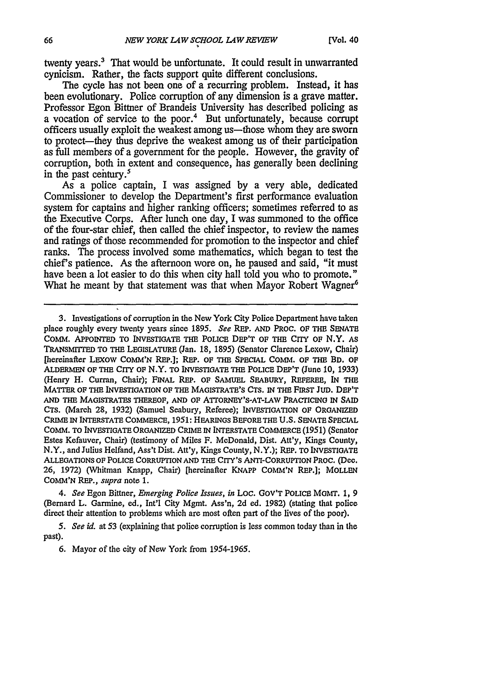twenty years.' That would be unfortunate. It could result in unwarranted cynicism. Rather, the facts support quite different conclusions.

The cycle has not been one of a recurring problem. Instead, it has been evolutionary. Police corruption of any dimension is a grave matter. Professor Egon Bittner of Brandeis University has described policing as a vocation of service to the poor.' But unfortunately, because corrupt officers usually exploit the weakest among us—those whom they are sworn to protect-they thus deprive the weakest among us of their participation as full members of a government for the people. However, the gravity of corruption, both in extent and consequence, has generally been declining in the past century.<sup>5</sup>

As a police captain, I was assigned **by** a very able, dedicated Commissioner to develop the Department's first performance evaluation system for captains and higher ranking officers; sometimes referred to as the Executive Corps. After lunch one day, I was summoned to the office of the four-star chief, then called the chief inspector, to review the names and ratings of those recommended for promotion to the inspector and chief ranks. The process involved some mathematics, which began to test the chief's patience. As the afternoon wore on, he paused and said, "it must have been a lot easier to do this when city hall told you who to promote." What he meant by that statement was that when Mayor Robert Wagner<sup>6</sup>

3. Investigations of corruption in **the New York City Police Department have taken place roughly every twenty years since 1895.** *See* REP. **AND** PRoC. **OF THE SENATE** COMM. **APPOINTED** TO **INvEsTIGATE THE** POLICE DEP'T OF **THE** CITY OF N.Y. **AS TRANsMITTED** TO **THE LEoISLATURE** (Jan. **18, 1895) (Senator Clarence Lexow,** Chair) **[hereinafter LEXOW COMM'N REP.]; REP. OF THE SPECIAL COMM. OF THE BD. OF ALDERMEN OF THE CrrY OF N.Y. TO INVESTIGATE THE POLICE DEP'T (June 10, 1933) (Henry H. Curran, Chair); FINAL REP. OF SAMUEL SEABURY, REFEREE, IN THE MATTER OF THE INVESTIGATION OF THE MAGISTRATE'S CTS. IN THE ]FIRST JUD. DEP'T AND THE MAGISTRATES THEREOF, AND OF ATTORNEY'S-AT-LAW PRACTICING IN SAID CTS. (March 28, 1932) (Samuel Seabury, Referee); INVESTIGATION OF ORGANIZED CRIME IN INTERSTATE COMMERCE, 1951:** HEARINGS **BEFORE THE U.S. SENATE SPECIAL COMM. TO INVESTIGATE ORGANIZED CRIME IN INTERSTATE COMMERCE (1951) (Senator Estes Kefauver, Chair) (testimony of Miles F. McDonald, Dist. Att'y, Kings County,** N.Y., and Julius Helfand, Ass't Dist. Att'y, Kings County, N.Y.); REP. **TO INVESTIGATE ALLEGATIONS OF POLICE CORRUPTION AND THE CITY'S ANTI-CORRUPTION PROC.** (Dec. **26, 1972) (Whitman Knapp, Chair) [hereinafter KNAPP COMM'N REP.]; MOLLEN COMM'N REP.,** *supra* note **1.**

4. *See* Egon Bittner, *Emerging Police Issues, in* Loc. **GOV'T** POLICE **MGMT. 1, 9** (Bernard L. Garmine, ed., Int'l City Mgmt. Ass'n, 2d ed. 1982) (stating that police direct their attention to problems which are most often part of the lives of the poor).

*5. See id.* at 53 (explaining that police corruption is less common today than in the past).

6. Mayor of the city of **New** York from 1954-1965.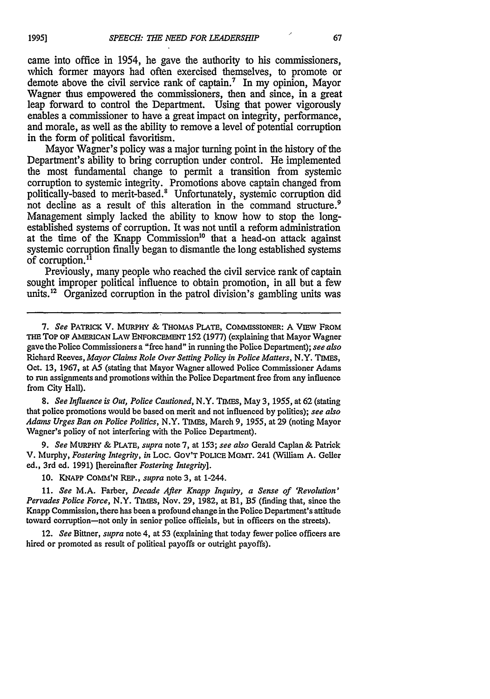came into office in 1954, he gave the authority to his commissioners, which former mayors had often exercised themselves, to promote or demote above the civil service rank of captain.<sup>7</sup> In my opinion, Mayor Wagner thus empowered the commissioners, then and since, in a great leap forward to control the Department. Using that power vigorously enables a commissioner to have a great impact on integrity, performance, and morale, as well as the ability to remove a level of potential corruption in the form of political favoritism.

Mayor Wagner's policy was a major turning point in the history of the Department's ability to bring corruption under control. He implemented the most fundamental change to permit a transition from systemic corruption to systemic integrity. Promotions above captain changed from politically-based to merit-based.<sup>8</sup> Unfortunately, systemic corruption did not decline as a result of this alteration in the command structure.<sup>9</sup> Management simply lacked the ability to know how to stop the longestablished systems of corruption. It was not until a reform administration at the time of the Knapp Commission<sup>10</sup> that a head-on attack against systemic corruption finally began to dismantle the long established systems of corruption.<sup>11</sup>

Previously, many people who reached the civil service rank of captain sought improper political influence to obtain promotion, in all but a few units.<sup>12</sup> Organized corruption in the patrol division's gambling units was

*8. See Influence is Out, Police Cautioned,* N.Y. TIMES, May 3, 1955, at 62 (stating that police promotions would be based on merit and not influenced by politics); *see also Adams Urges Ban on Police Politics,* N.Y. TIMES, March 9, 1955, at 29 (noting Mayor Wagner's policy of not interfering with the Police Department).

9. *See* **MURPHY &** PLATE, *supra* note 7, at 153; *see also* Gerald Caplan & Patrick V. Murphy, *Fostering Integrity, in* Loc. GoV'T **POLICE** MGMT. 241 (William A. Geller ed., 3rd ed. 1991) [hereinafter *Fostering Integrity].*

10. **KNAPP** COhMM'N *REP., supra* note 3, at 1-244.

**11.** *See* M.A. Farber, *Decade After Knapp Inquiry, a Sense of 'Revolution' Pervades Police Force,* N.Y. TIMES, Nov. 29, 1982, at B1, B5 (finding that, since the Knapp Commission, there has been a profound change in the Police Department's attitude toward corruption-not only in senior police officials, but in officers on the streets).

12. *See* Bittner, *supra* note 4, at 53 (explaining that today fewer police officers are hired or promoted as result of political payoffs or outright payoffs).

<sup>7.</sup> *See* PATRICK V. MURPHY & THOMAS PLATE, COMMISSIONER: A VIEW FROM THE TOP OF AMERICAN LAW ENFORCEMENT 152 (1977) (explaining that Mayor Wagner gave the Police Commissioners a "free hand" in running the Police Department); see also Richard Reeves, *Mayor Claims Role Over Setting Policy in Police Matters,* N.Y. TIMES, Oct. **13,** 1967, at **AS** (stating that Mayor Wagner allowed Police Commissioner Adams to run assignments and promotions within the Police Department free from any influence from City Hall).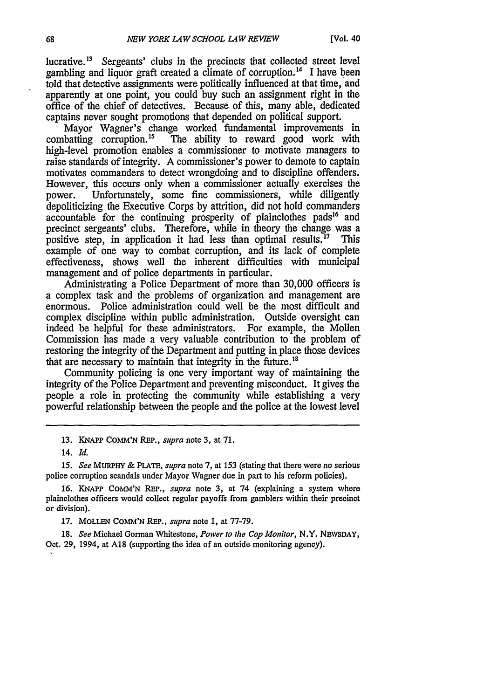lucrative.<sup>13</sup> Sergeants' clubs in the precincts that collected street level gambling and liquor graft created a climate of corruption.<sup>14</sup> I have been told that detective assignments were politically influenced at that time, and apparently at one point, you could buy such an assignment right in the office of the chief of detectives. Because of this, many able, dedicated captains never sought promotions that depended on political support.

Mayor Wagner's change worked fundamental improvements in combatting corruption.<sup>15</sup> The ability to reward good work with The ability to reward good work with high-level promotion enables a commissioner to motivate managers to raise standards of integrity. A commissioner's power to demote to captain motivates commanders to detect wrongdoing and to discipline offenders. However, this occurs only when a commissioner actually exercises the power. Unfortunately, some fine commissioners, while diligently depoliticizing the Executive Corps by attrition, did not hold commanders accountable for the continuing prosperity of plainclothes pads<sup>16</sup> and precinct sergeants' clubs. Therefore, while in theory the change was a positive step, in application it had less than optimal results.<sup>17</sup> This example of one way to combat corruption, and its lack of complete effectiveness, shows well the inherent difficulties with municipal management and of police departments in particular.

Administrating a Police Department of more than 30,000 officers is a complex task and the problems of organization and management are enormous. Police administration could well be the most difficult and complex discipline within public administration. Outside oversight can indeed be helpful for these administrators. For example, the Mollen Commission has made a very valuable contribution to the problem of restoring the integrity of the Department and putting in place those devices that are necessary to maintain that integrity in the future.<sup>18</sup>

Community policing is one very important way of maintaining the integrity of the Police Department and preventing misconduct. It gives the people a role in protecting the community while establishing a very powerful relationship between the people and the police at the lowest level

**13.** KNAPP **COMM'N** REP., *supra* note 3, at 71.

*15. See* MuRPHY **&** PLATE, *supra* note 7, at **153** (stating that there were no serious police corruption scandals under Mayor Wagner due in part to his reform policies).

**16. KNAPP COMM'N** REP., *supra* note 3, at 74 (explaining a system where plainclothes officers would collect regular payoffs from gamblers within their precinct or division).

17. **MOLLEN COMM'N** REP., *supra* note 1, at 77-79.

18. *See* Michael Gorman Whitestone, *Power to the Cop Monitor,* N.Y. NEWSDAY, Oct. 29, 1994, at **A18** (supporting the idea of an outside monitoring agency).

<sup>14.</sup> *Id.*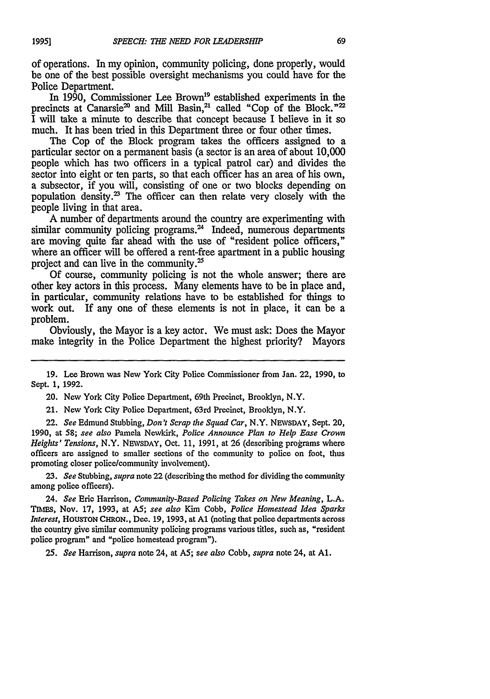of operations. In my opinion, community policing, done properly, would be one of the best possible oversight mechanisms you could have for the Police Department.

In 1990, Commissioner Lee Brown<sup>19</sup> established experiments in the precincts at Canarsie<sup>20</sup> and Mill Basin,<sup>21</sup> called "Cop of the Block."<sup>22</sup> I will take a minute to describe that concept because I believe in it so much. It has been tried in this Department three or four other times.

The Cop of the Block program takes the officers assigned to a particular sector on a permanent basis (a sector is an area of about 10,000 people which has two officers in a typical patrol car) and divides the sector into eight or ten parts, so that each officer has an area of his own, a subsector, if you will, consisting of one or two blocks depending on population density. $^{23}$  The officer can then relate very closely with the people living in that area.

A number of departments around the country are experimenting with similar community policing programs. $^{24}$  Indeed, numerous departments are moving quite far ahead with the use of "resident police officers," where an officer will be offered a rent-free apartment in a public housing project and can live in the community.<sup>25</sup>

Of course, community policing is not the whole answer; there are other key actors in this process. Many elements have to be in place and, in particular, community relations have to be established for things to work out. If any one of these elements is not in place, it can be a problem.

Obviously, the Mayor is a key actor. We must ask: Does the Mayor make integrity in the Police Department the highest priority? Mayors

19. Lee Brown was New York City Police Commissioner from Jan. 22, 1990, to Sept. 1, 1992.

20. New York City Police Department, 69th Precinct, Brooklyn, N.Y.

21. New York City Police Department, 63rd Precinct, Brooklyn, N.Y.

22. *See* Edmund Stubbing, *Don't Scrap the Squad Car,* N.Y. NEWSDAY, Sept. 20, **1990,** at *58; see also* Pamela Newkirk, *Police Announce Plan to Help Ease Crown Heights' Tensions,* N.Y. NEWSDAY, Oct. 11, 1991, at 26 (describing programs where officers are assigned to smaller sections of the community to police on foot, thus promoting closer police/community involvement).

23. *See* Stubbing, *supra* note 22 (describing the method for dividing the community among police officers).

24. *See* Eric Harrison, *Community-Based Policing Takes on New Meaning,* L.A. TINEs, Nov. **17,** 1993, at AS; *see also* Kim Cobb, *Police Homestead Idea Sparks Interest,* HoUsTON CHRON., Dec. 19, **1993,** at **Al** (noting that police departments across the country give similar community policing programs various titles, such as, "resident police program" and "police homestead program").

25. *See* Harrison, *supra* note 24, at **AS;** *see also* Cobb, *supra* note 24, at **Al.**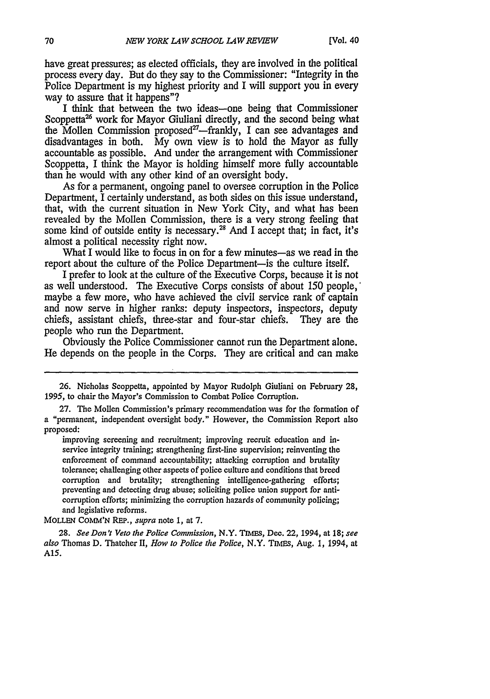have great pressures; as elected officials, they are involved in the political process every day. But do they say to the Commissioner: "Integrity in the Police Department is my highest priority and I will support you in every way to assure that it happens"?

I think that between the two ideas-one being that Commissioner Scoppetta<sup>26</sup> work for Mayor Giuliani directly, and the second being what the Mollen Commission proposed<sup>27</sup>—frankly, I can see advantages and disadvantages in both. My own view is to hold the Mayor as fully accountable as possible. And under the arrangement with Commissioner Scoppetta, I think the Mayor is holding himself more fully accountable than he would with any other kind of an oversight body.

As for a permanent, ongoing panel to oversee corruption in the Police Department, I certainly understand, as both sides on this issue understand, that, with the current situation in New York City, and what has been revealed by the Mollen Commission, there is a very strong feeling that some kind of outside entity is necessary.<sup>28</sup> And I accept that; in fact, it's almost a political necessity right now.

What I would like to focus in on for a few minutes-as we read in the report about the culture of the Police Department-is the culture itself.

I prefer to look at the culture of the Executive Corps, because it is not as well understood. The Executive Corps consists of about 150 people,' maybe a few more, who have achieved the civil service rank of captain and now serve in higher ranks: deputy inspectors, inspectors, deputy chiefs, assistant chiefs, three-star and four-star chiefs. They are the people who run the Department.

Obviously the Police Commissioner cannot run the Department alone. He depends on the people in the Corps. They are critical and can make

MOLLEN CoMM'N REP., *supra* note 1, at 7.

28. *See Don't Veto the Police Commission,* N.Y. **TIMES,** Dec. 22, 1994, at 18; *see also* Thomas D. Thatcher II, *How to Police the Police,* N.Y. TIMES, Aug. 1, 1994, at A15.

<sup>26.</sup> Nicholas Scoppetta, appointed by Mayor Rudolph Giuliani on February 28, **1995,** to chair the Mayor's Commission to Combat Police Corruption.

<sup>27.</sup> The Mollen Commission's primary recommendation was for the formation of a "permanent, independent oversight body." However, the Commission Report also proposed:

improving screening and recruitment; improving recruit education and inservice integrity training; strengthening first-line supervision; reinventing the enforcement of command accountability; attacking corruption and brutality tolerance; challenging other aspects of police culture and conditions that breed corruption and brutality; strengthening intelligence-gathering efforts; preventing and detecting drug abuse; soliciting police union support for anticorruption efforts; minimizing the corruption hazards of community policing; and legislative reforms.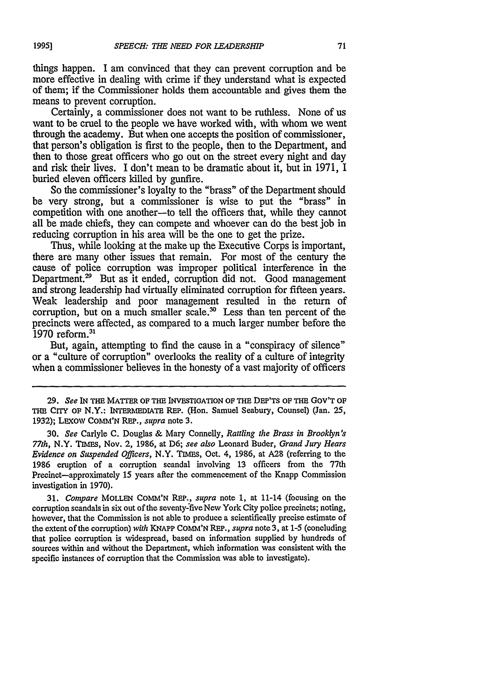things happen. I am convinced that they can prevent corruption and be more effective in dealing with crime if they understand what is expected of them; if the Commissioner holds them accountable and gives them the means to prevent corruption.

Certainly, a commissioner does not want to be ruthless. None of us want to be cruel to the people we have worked with, with whom we went through the academy. But when one accepts the position of commissioner, that person's obligation is first to the people, then to the Department, and then to those great officers who go out on the street every night and day and risk their lives. I don't mean to be dramatic about it, but in 1971, I buried eleven officers killed by gunfire.

So the commissioner's loyalty to the "brass" of the Department should be very strong, but a commissioner is wise to put the "brass" in competition with one another-to tell the officers that, while they cannot all be made chiefs, they can compete and whoever can do the best job in reducing corruption in his area will be the one to get the prize.

Thus, while looking at the make up the Executive Corps is important, there are many other issues that remain. For most of the century the cause of police corruption was improper political interference in the Department.<sup>29</sup> But as it ended, corruption did not. Good management and strong leadership had virtually eliminated corruption for fifteen years. Weak leadership and poor management resulted in the return of corruption, but on a much smaller scale.<sup>30</sup> Less than ten percent of the precincts were affected, as compared to a much larger number before the 1970 reform.<sup>31</sup>

But, again, attempting to find the cause in a "conspiracy of silence" or a "culture of corruption" overlooks the reality of a culture of integrity when a commissioner believes in the honesty of a vast majority of officers

**30.** *See* Carlyle **C.** Douglas & Mary Connelly, *Rattling the Brass in Brooklyn's 77th,* N.Y. TIMEs, Nov. 2, 1986, at D6; *see also* Leonard Buder, *Grand Jury Hears Evidence on Suspended Officers,* N.Y. TIMES, Oct. 4, 1986, at A28 (referring to the **1986** eruption of a corruption scandal involving 13 officers from the 77th Precinct-approximately 15 years after the commencement of the Knapp Commission investigation in 1970).

**31.** *Compare* MOLLEN COMM'N REP., *supra* note 1, at 11-14 (focusing on the corruption scandals in six out of the seventy-five New York City police precincts; noting, however, that the Commission is not able to produce a scientifically precise estimate of the extent of the corruption) *with* KNAPP **COMM'N** RFP., *supra* note 3, at 1-5 (concluding that police corruption is widespread, based on information supplied by hundreds of sources within and without the Department, which information was consistent with the specific instances of corruption that the Commission was able to investigate).

<sup>29.</sup> *See* IN **THE** MATrER OF THE **INVESTIGATION** OF THE DEP'Ts OF **THE** GOV'T **OF THE CrrY OF** N.Y.: **INTEnEDIATE** REP. (Hon. Samuel Seabury, Counsel) (Jan. 25, 1932); LExow **COMM'N REP.,** *supra* note 3.